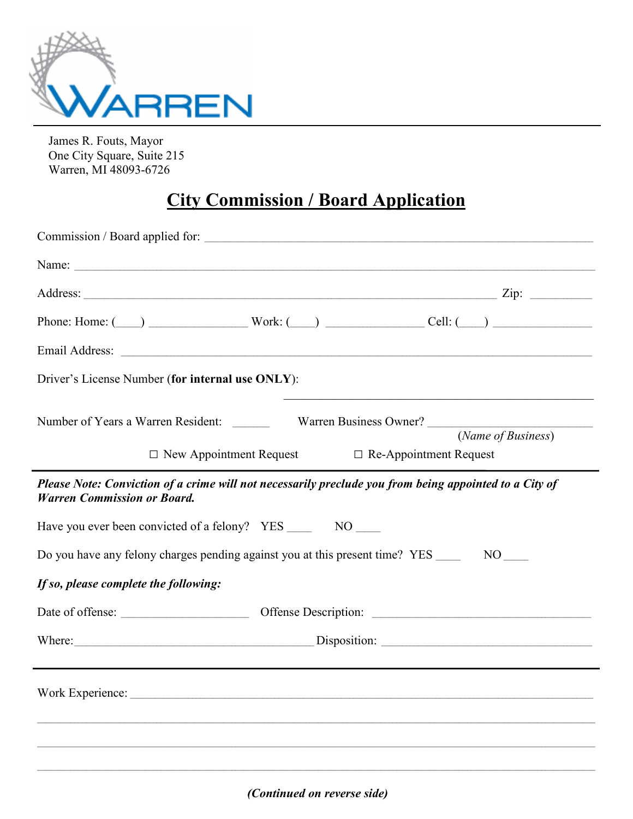

James R. Fouts, Mayor One City Square, Suite 215 Warren, MI 48093-6726

## **City Commission / Board Application**

| Phone: Home: $(\_\_\_\_\_\_\_\_\_\$ Work: $(\_\_\_\_\_\_\_\_\_\_\_$ Cell: $(\_\_\_\_\_\_\_\_\_\_$                                                                                                                              |
|--------------------------------------------------------------------------------------------------------------------------------------------------------------------------------------------------------------------------------|
|                                                                                                                                                                                                                                |
| Driver's License Number (for internal use ONLY):                                                                                                                                                                               |
| Number of Years a Warren Resident:<br>Warren Business Owner? (Name of Business)                                                                                                                                                |
| $\Box$ New Appointment Request $\Box$ Re-Appointment Request                                                                                                                                                                   |
| Please Note: Conviction of a crime will not necessarily preclude you from being appointed to a City of<br><b>Warren Commission or Board.</b>                                                                                   |
|                                                                                                                                                                                                                                |
| Do you have any felony charges pending against you at this present time? YES<br>$NO$ <sub>——</sub>                                                                                                                             |
| If so, please complete the following:                                                                                                                                                                                          |
| Date of offense: CHE Offense Description: CHE Offense Description:                                                                                                                                                             |
| Where: Niethermann Communication Communication Communication Communication Communication Communication Communication Communication Communication Communication Communication Communication Communication Communication Communi |
|                                                                                                                                                                                                                                |
|                                                                                                                                                                                                                                |
|                                                                                                                                                                                                                                |